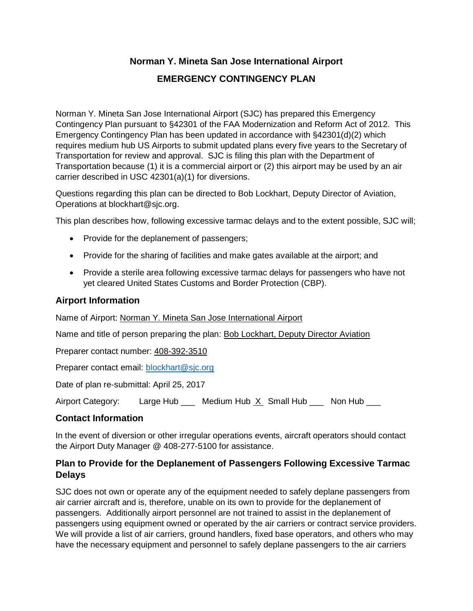# **Norman Y. Mineta San Jose International Airport**

#### **EMERGENCY CONTINGENCY PLAN**

Norman Y. Mineta San Jose International Airport (SJC) has prepared this Emergency Contingency Plan pursuant to §42301 of the FAA Modernization and Reform Act of 2012. This Emergency Contingency Plan has been updated in accordance with §42301(d)(2) which requires medium hub US Airports to submit updated plans every five years to the Secretary of Transportation for review and approval. SJC is filing this plan with the Department of Transportation because (1) it is a commercial airport or (2) this airport may be used by an air carrier described in USC 42301(a)(1) for diversions.

Questions regarding this plan can be directed to Bob Lockhart, Deputy Director of Aviation, Operations at blockhart@sjc.org.

This plan describes how, following excessive tarmac delays and to the extent possible, SJC will;

- Provide for the deplanement of passengers;
- Provide for the sharing of facilities and make gates available at the airport; and
- Provide a sterile area following excessive tarmac delays for passengers who have not yet cleared United States Customs and Border Protection (CBP).

#### **Airport Information**

Name of Airport: Norman Y. Mineta San Jose International Airport

Name and title of person preparing the plan: Bob Lockhart, Deputy Director Aviation

Preparer contact number: 408-392-3510

Preparer contact email: [blockhart@sjc.org](mailto:blockhart@sjc.org)

Date of plan re-submittal: April 25, 2017

Airport Category: Large Hub \_\_\_ Medium Hub  $X$  Small Hub \_\_\_ Non Hub \_\_\_

#### **Contact Information**

In the event of diversion or other irregular operations events, aircraft operators should contact the Airport Duty Manager @ 408-277-5100 for assistance.

#### **Plan to Provide for the Deplanement of Passengers Following Excessive Tarmac Delays**

SJC does not own or operate any of the equipment needed to safely deplane passengers from air carrier aircraft and is, therefore, unable on its own to provide for the deplanement of passengers. Additionally airport personnel are not trained to assist in the deplanement of passengers using equipment owned or operated by the air carriers or contract service providers. We will provide a list of air carriers, ground handlers, fixed base operators, and others who may have the necessary equipment and personnel to safely deplane passengers to the air carriers